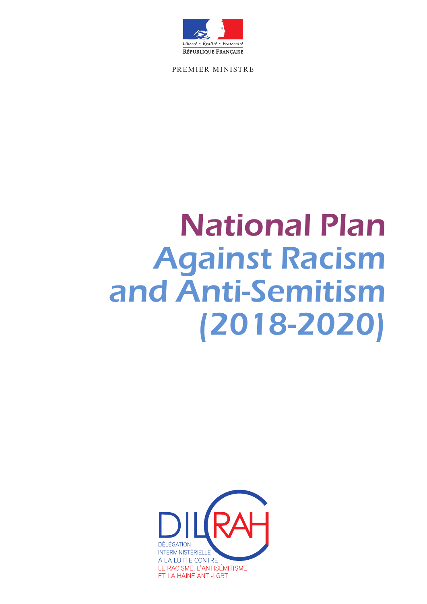

PREMIER MINISTRE

# National Plan Against Racism and Anti-Semitism (2018-2020)

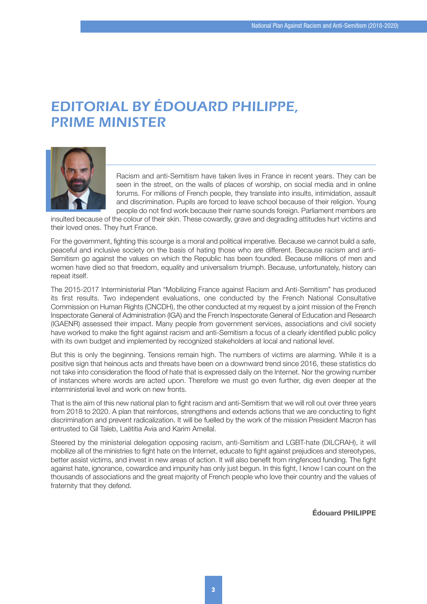### EDITORIAL BY ÉDOUARD PHILIPPE, PRIME MINISTER



Racism and anti-Semitism have taken lives in France in recent years. They can be seen in the street, on the walls of places of worship, on social media and in online forums. For millions of French people, they translate into insults, intimidation, assault and discrimination. Pupils are forced to leave school because of their religion. Young people do not find work because their name sounds foreign. Parliament members are

insulted because of the colour of their skin. These cowardly, grave and degrading attitudes hurt victims and their loved ones. They hurt France.

For the government, fighting this scourge is a moral and political imperative. Because we cannot build a safe, peaceful and inclusive society on the basis of hating those who are different. Because racism and anti-Semitism go against the values on which the Republic has been founded. Because millions of men and women have died so that freedom, equality and universalism triumph. Because, unfortunately, history can repeat itself.

The 2015-2017 Interministerial Plan "Mobilizing France against Racism and Anti-Semitism" has produced its first results. Two independent evaluations, one conducted by the French National Consultative Commission on Human Rights (CNCDH), the other conducted at my request by a joint mission of the French Inspectorate General of Administration (IGA) and the French Inspectorate General of Education and Research (IGAENR) assessed their impact. Many people from government services, associations and civil society have worked to make the fight against racism and anti-Semitism a focus of a clearly identified public policy with its own budget and implemented by recognized stakeholders at local and national level.

But this is only the beginning. Tensions remain high. The numbers of victims are alarming. While it is a positive sign that heinous acts and threats have been on a downward trend since 2016, these statistics do not take into consideration the flood of hate that is expressed daily on the Internet. Nor the growing number of instances where words are acted upon. Therefore we must go even further, dig even deeper at the interministerial level and work on new fronts.

That is the aim of this new national plan to fight racism and anti-Semitism that we will roll out over three years from 2018 to 2020. A plan that reinforces, strengthens and extends actions that we are conducting to fight discrimination and prevent radicalization. It will be fuelled by the work of the mission President Macron has entrusted to Gil Taïeb, Laëtitia Avia and Karim Amellal.

Steered by the ministerial delegation opposing racism, anti-Semitism and LGBT-hate (DILCRAH), it will mobilize all of the ministries to fight hate on the Internet, educate to fight against prejudices and stereotypes, better assist victims, and invest in new areas of action. It will also benefit from ringfenced funding. The fight against hate, ignorance, cowardice and impunity has only just begun. In this fight, I know I can count on the thousands of associations and the great majority of French people who love their country and the values of fraternity that they defend.

**Édouard PHILIPPE**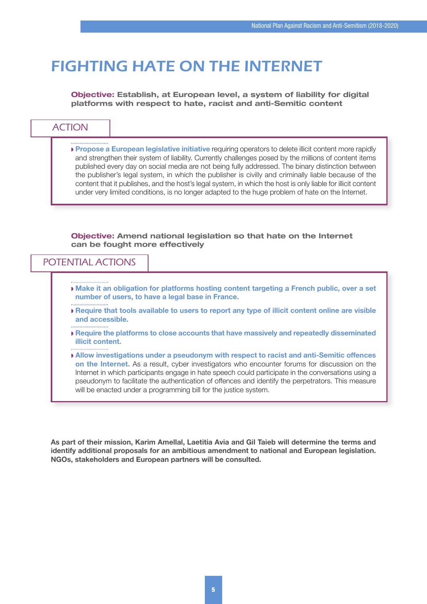### FIGHTING HATE ON THE INTERNET

**Objective: Establish, at European level, a system of liability for digital platforms with respect to hate, racist and anti-Semitic content**

|  | <b>ACTION</b> |  |
|--|---------------|--|
|  |               |  |

w **Propose a European legislative initiative** requiring operators to delete illicit content more rapidly and strengthen their system of liability. Currently challenges posed by the millions of content items published every day on social media are not being fully addressed. The binary distinction between the publisher's legal system, in which the publisher is civilly and criminally liable because of the content that it publishes, and the host's legal system, in which the host is only liable for illicit content under very limited conditions, is no longer adapted to the huge problem of hate on the Internet.

**Objective: Amend national legislation so that hate on the Internet can be fought more effectively**

#### POTENTIAL ACTIONS

- w **Make it an obligation for platforms hosting content targeting a French public, over a set number of users, to have a legal base in France.**
- w **Require that tools available to users to report any type of illicit content online are visible and accessible.**
- w **Require the platforms to close accounts that have massively and repeatedly disseminated illicit content.**
- w **Allow investigations under a pseudonym with respect to racist and anti-Semitic offences on the Internet.** As a result, cyber investigators who encounter forums for discussion on the Internet in which participants engage in hate speech could participate in the conversations using a pseudonym to facilitate the authentication of offences and identify the perpetrators. This measure will be enacted under a programming bill for the justice system.

**As part of their mission, Karim Amellal, Laetitia Avia and Gil Taieb will determine the terms and identify additional proposals for an ambitious amendment to national and European legislation. NGOs, stakeholders and European partners will be consulted.**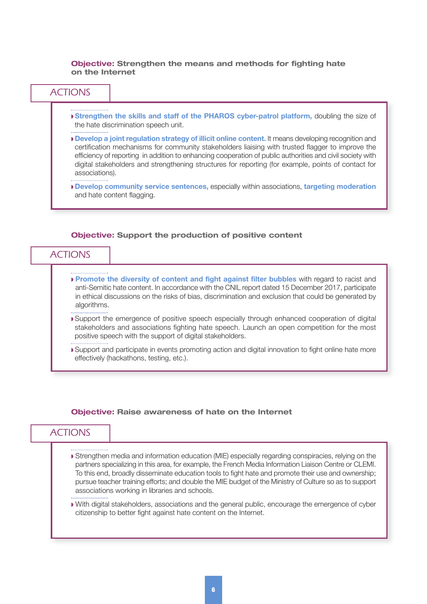**Objective: Strengthen the means and methods for fighting hate on the Internet**



- w **Promote the diversity of content and fight against filter bubbles** with regard to racist and anti-Semitic hate content. In accordance with the CNIL report dated 15 December 2017, participate in ethical discussions on the risks of bias, discrimination and exclusion that could be generated by algorithms.
- Support the emergence of positive speech especially through enhanced cooperation of digital stakeholders and associations fighting hate speech. Launch an open competition for the most positive speech with the support of digital stakeholders.
- w Support and participate in events promoting action and digital innovation to fight online hate more effectively (hackathons, testing, etc.).

#### **Objective: Raise awareness of hate on the Internet**

- w Strengthen media and information education (MIE) especially regarding conspiracies, relying on the partners specializing in this area, for example, the French Media Information Liaison Centre or CLEMI. To this end, broadly disseminate education tools to fight hate and promote their use and ownership; pursue teacher training efforts; and double the MIE budget of the Ministry of Culture so as to support associations working in libraries and schools.
- w With digital stakeholders, associations and the general public, encourage the emergence of cyber citizenship to better fight against hate content on the Internet.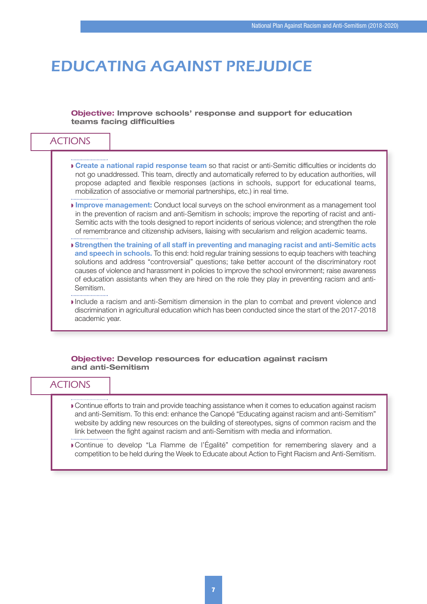### EDUCATING AGAINST PREJUDICE

#### **Objective: Improve schools' response and support for education teams facing difficulties**

#### ACTIONS w **Create a national rapid response team** so that racist or anti-Semitic difficulties or incidents do not go unaddressed. This team, directly and automatically referred to by education authorities, will propose adapted and flexible responses (actions in schools, support for educational teams, mobilization of associative or memorial partnerships, etc.) in real time. **Improve management:** Conduct local surveys on the school environment as a management tool in the prevention of racism and anti-Semitism in schools; improve the reporting of racist and anti-Semitic acts with the tools designed to report incidents of serious violence; and strengthen the role of remembrance and citizenship advisers, liaising with secularism and religion academic teams. w **Strengthen the training of all staff in preventing and managing racist and anti-Semitic acts and speech in schools.** To this end: hold regular training sessions to equip teachers with teaching solutions and address "controversial" questions; take better account of the discriminatory root causes of violence and harassment in policies to improve the school environment; raise awareness of education assistants when they are hired on the role they play in preventing racism and anti-Semitism. w Include a racism and anti-Semitism dimension in the plan to combat and prevent violence and discrimination in agricultural education which has been conducted since the start of the 2017-2018 academic year.

#### **Objective: Develop resources for education against racism and anti-Semitism**

- w Continue efforts to train and provide teaching assistance when it comes to education against racism and anti-Semitism. To this end: enhance the Canopé "Educating against racism and anti-Semitism" website by adding new resources on the building of stereotypes, signs of common racism and the link between the fight against racism and anti-Semitism with media and information.
- w Continue to develop "La Flamme de l'Égalité" competition for remembering slavery and a competition to be held during the Week to Educate about Action to Fight Racism and Anti-Semitism.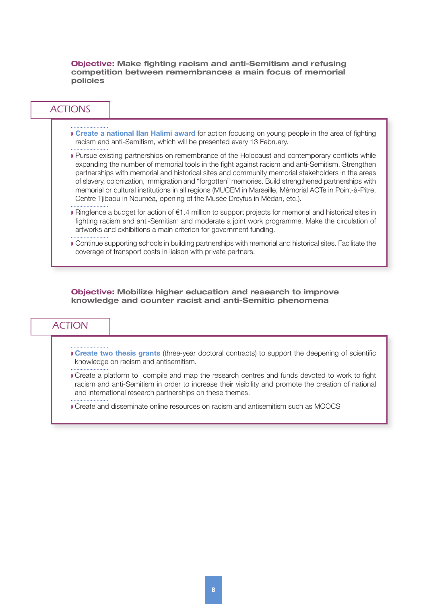**Objective: Make fighting racism and anti-Semitism and refusing competition between remembrances a main focus of memorial policies**

#### ACTIONS

- 
- w **Create a national Ilan Halimi award** for action focusing on young people in the area of fighting racism and anti-Semitism, which will be presented every 13 February.
- w Pursue existing partnerships on remembrance of the Holocaust and contemporary conflicts while expanding the number of memorial tools in the fight against racism and anti-Semitism. Strengthen partnerships with memorial and historical sites and community memorial stakeholders in the areas of slavery, colonization, immigration and "forgotten" memories. Build strengthened partnerships with memorial or cultural institutions in all regions (MUCEM in Marseille, Mémorial ACTe in Point-à-Pitre, Centre Tjibaou in Nouméa, opening of the Musée Dreyfus in Médan, etc.).
- w Ringfence a budget for action of €1.4 million to support projects for memorial and historical sites in fighting racism and anti-Semitism and moderate a joint work programme. Make the circulation of artworks and exhibitions a main criterion for government funding.
- w Continue supporting schools in building partnerships with memorial and historical sites. Facilitate the coverage of transport costs in liaison with private partners.

**Objective: Mobilize higher education and research to improve knowledge and counter racist and anti-Semitic phenomena**

- w **Create two thesis grants** (three-year doctoral contracts) to support the deepening of scientific knowledge on racism and antisemitism.
- Create a platform to compile and map the research centres and funds devoted to work to fight racism and anti-Semitism in order to increase their visibility and promote the creation of national and international research partnerships on these themes.
- w Create and disseminate online resources on racism and antisemitism such as MOOCS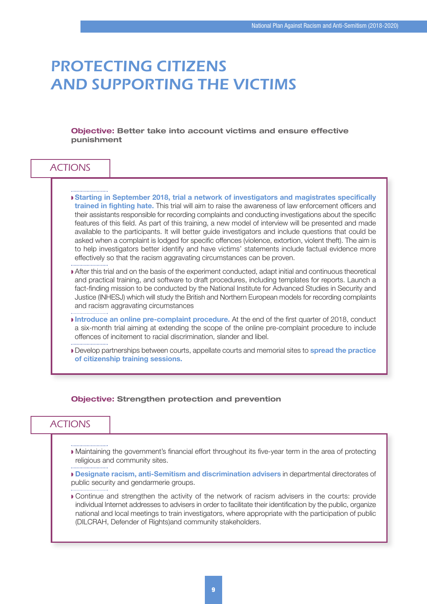### PROTECTING CITIZENS AND SUPPORTING THE VICTIMS

**Objective: Better take into account victims and ensure effective punishment**

| Starting in September 2018, trial a network of investigators and magistrates specifically<br>trained in fighting hate. This trial will aim to raise the awareness of law enforcement officers and<br>their assistants responsible for recording complaints and conducting investigations about the specific<br>features of this field. As part of this training, a new model of interview will be presented and made<br>available to the participants. It will better guide investigators and include questions that could be<br>asked when a complaint is lodged for specific offences (violence, extortion, violent theft). The aim is<br>to help investigators better identify and have victims' statements include factual evidence more<br>effectively so that the racism aggravating circumstances can be proven. |
|-------------------------------------------------------------------------------------------------------------------------------------------------------------------------------------------------------------------------------------------------------------------------------------------------------------------------------------------------------------------------------------------------------------------------------------------------------------------------------------------------------------------------------------------------------------------------------------------------------------------------------------------------------------------------------------------------------------------------------------------------------------------------------------------------------------------------|
| After this trial and on the basis of the experiment conducted, adapt initial and continuous theoretical<br>and practical training, and software to draft procedures, including templates for reports. Launch a<br>fact-finding mission to be conducted by the National Institute for Advanced Studies in Security and<br>Justice (INHESJ) which will study the British and Northern European models for recording complaints<br>and racism aggravating circumstances                                                                                                                                                                                                                                                                                                                                                    |
| Introduce an online pre-complaint procedure. At the end of the first quarter of 2018, conduct<br>a six-month trial aiming at extending the scope of the online pre-complaint procedure to include<br>offences of incitement to racial discrimination, slander and libel.                                                                                                                                                                                                                                                                                                                                                                                                                                                                                                                                                |

#### **Objective: Strengthen protection and prevention**

#### **ACTIONS**

w Maintaining the government's financial effort throughout its five-year term in the area of protecting religious and community sites.

w **Designate racism, anti-Semitism and discrimination advisers** in departmental directorates of public security and gendarmerie groups.

w Continue and strengthen the activity of the network of racism advisers in the courts: provide individual Internet addresses to advisers in order to facilitate their identification by the public, organize national and local meetings to train investigators, where appropriate with the participation of public (DILCRAH, Defender of Rights)and community stakeholders.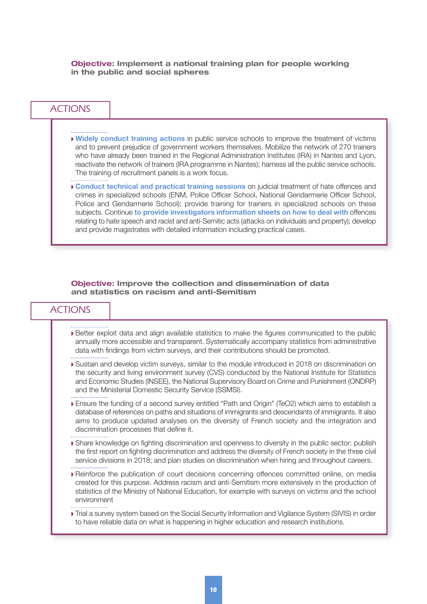**Objective: Implement a national training plan for people working in the public and social spheres**

#### ACTIONS

w **Widely conduct training actions** in public service schools to improve the treatment of victims and to prevent prejudice of government workers themselves. Mobilize the network of 270 trainers who have already been trained in the Regional Administration Institutes (IRA) in Nantes and Lyon, reactivate the network of trainers (IRA programme in Nantes); harness all the public service schools. The training of recruitment panels is a work focus.

w **Conduct technical and practical training sessions** on judicial treatment of hate offences and crimes in specialized schools (ENM, Police Officer School, National Gendarmerie Officer School, Police and Gendarmerie School); provide training for trainers in specialized schools on these subjects. Continue **to provide investigators information sheets on how to deal with** offences relating to hate speech and racist and anti-Semitic acts (attacks on individuals and property); develop and provide magistrates with detailed information including practical cases.

#### **Objective: Improve the collection and dissemination of data and statistics on racism and anti-Semitism**

- w Better exploit data and align available statistics to make the figures communicated to the public annually more accessible and transparent. Systematically accompany statistics from administrative data with findings from victim surveys, and their contributions should be promoted.
- w Sustain and develop victim surveys, similar to the module introduced in 2018 on discrimination on the security and living environment survey (CVS) conducted by the National Institute for Statistics and Economic Studies (INSEE), the National Supervisory Board on Crime and Punishment (ONDRP) and the Ministerial Domestic Security Service (SSMSI).
- w Ensure the funding of a second survey entitled "Path and Origin" (TeO2) which aims to establish a database of references on paths and situations of immigrants and descendants of immigrants. It also aims to produce updated analyses on the diversity of French society and the integration and discrimination processes that define it.
- w Share knowledge on fighting discrimination and openness to diversity in the public sector: publish the first report on fighting discrimination and address the diversity of French society in the three civil service divisions in 2018; and plan studies on discrimination when hiring and throughout careers.
- w Reinforce the publication of court decisions concerning offences committed online, on media created for this purpose. Address racism and anti-Semitism more extensively in the production of statistics of the Ministry of National Education, for example with surveys on victims and the school environment
- w Trial a survey system based on the Social Security Information and Vigilance System (SIVIS) in order to have reliable data on what is happening in higher education and research institutions.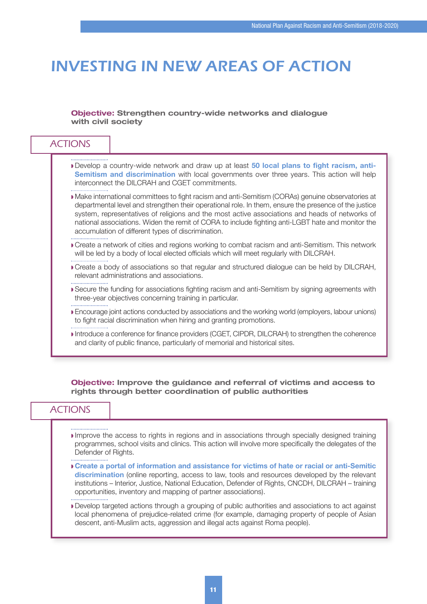## INVESTING IN NEW AREAS OF ACTION

#### **Objective: Strengthen country-wide networks and dialogue with civil society**

|  | Develop a country-wide network and draw up at least 50 local plans to fight racism, anti-<br><b>Semitism and discrimination</b> with local governments over three years. This action will help<br>interconnect the DILCRAH and CGET commitments.                                                                                                                                                                                                                       |
|--|------------------------------------------------------------------------------------------------------------------------------------------------------------------------------------------------------------------------------------------------------------------------------------------------------------------------------------------------------------------------------------------------------------------------------------------------------------------------|
|  | Make international committees to fight racism and anti-Semitism (CORAs) genuine observatories at<br>departmental level and strengthen their operational role. In them, ensure the presence of the justice<br>system, representatives of religions and the most active associations and heads of networks of<br>national associations. Widen the remit of CORA to include fighting anti-LGBT hate and monitor the<br>accumulation of different types of discrimination. |
|  | Create a network of cities and regions working to combat racism and anti-Semitism. This network<br>will be led by a body of local elected officials which will meet regularly with DILCRAH.                                                                                                                                                                                                                                                                            |
|  | Create a body of associations so that regular and structured dialogue can be held by DILCRAH,<br>relevant administrations and associations.                                                                                                                                                                                                                                                                                                                            |
|  | ■ Secure the funding for associations fighting racism and anti-Semitism by signing agreements with<br>three-year objectives concerning training in particular.                                                                                                                                                                                                                                                                                                         |
|  | ■ Encourage joint actions conducted by associations and the working world (employers, labour unions)<br>to fight racial discrimination when hiring and granting promotions.                                                                                                                                                                                                                                                                                            |
|  | Introduce a conference for finance providers (CGET, CIPDR, DILCRAH) to strengthen the coherence<br>and clarity of public finance, particularly of memorial and historical sites.                                                                                                                                                                                                                                                                                       |

**Objective: Improve the guidance and referral of victims and access to rights through better coordination of public authorities**

- Improve the access to rights in regions and in associations through specially designed training programmes, school visits and clinics. This action will involve more specifically the delegates of the Defender of Rights.
- w **Create a portal of information and assistance for victims of hate or racial or anti-Semitic discrimination** (online reporting, access to law, tools and resources developed by the relevant institutions – Interior, Justice, National Education, Defender of Rights, CNCDH, DILCRAH – training opportunities, inventory and mapping of partner associations).
- Develop targeted actions through a grouping of public authorities and associations to act against local phenomena of prejudice-related crime (for example, damaging property of people of Asian descent, anti-Muslim acts, aggression and illegal acts against Roma people).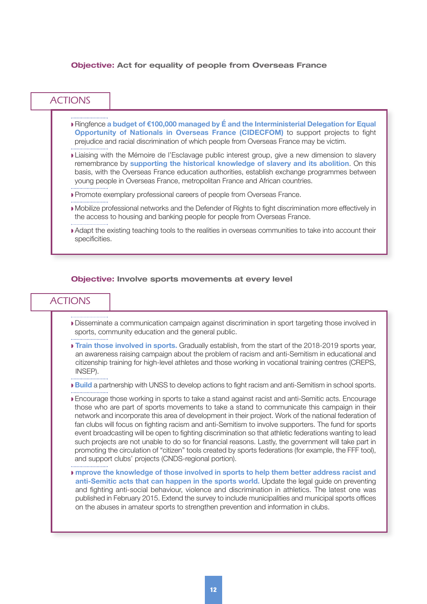#### **Objective: Act for equality of people from Overseas France**

| <b>ACTIONS</b> |                                                                                                                                                                                                                                                                                                                                                                                   |
|----------------|-----------------------------------------------------------------------------------------------------------------------------------------------------------------------------------------------------------------------------------------------------------------------------------------------------------------------------------------------------------------------------------|
|                | Delaysion Finance a budget of €100,000 managed by E and the Interministerial Delegation for Equal<br>Opportunity of Nationals in Overseas France (CIDECFOM) to support projects to fight<br>prejudice and racial discrimination of which people from Overseas France may be victim.                                                                                               |
|                | <b>Liaising with the Mémoire de l'Esclavage public interest group, give a new dimension to slavery</b><br>remembrance by supporting the historical knowledge of slavery and its abolition. On this<br>basis, with the Overseas France education authorities, establish exchange programmes between<br>young people in Overseas France, metropolitan France and African countries. |
|                | • Promote exemplary professional careers of people from Overseas France.                                                                                                                                                                                                                                                                                                          |
|                | Mobilize professional networks and the Defender of Rights to fight discrimination more effectively in<br>the access to housing and banking people for people from Overseas France.                                                                                                                                                                                                |
| specificities. | ■ Adapt the existing teaching tools to the realities in overseas communities to take into account their                                                                                                                                                                                                                                                                           |

#### **Objective: Involve sports movements at every level**

- w Disseminate a communication campaign against discrimination in sport targeting those involved in sports, community education and the general public.
- **Train those involved in sports.** Gradually establish, from the start of the 2018-2019 sports year, an awareness raising campaign about the problem of racism and anti-Semitism in educational and citizenship training for high-level athletes and those working in vocational training centres (CREPS, INSEP).
- **Build** a partnership with UNSS to develop actions to fight racism and anti-Semitism in school sports.
- w Encourage those working in sports to take a stand against racist and anti-Semitic acts. Encourage those who are part of sports movements to take a stand to communicate this campaign in their network and incorporate this area of development in their project. Work of the national federation of fan clubs will focus on fighting racism and anti-Semitism to involve supporters. The fund for sports event broadcasting will be open to fighting discrimination so that athletic federations wanting to lead such projects are not unable to do so for financial reasons. Lastly, the government will take part in promoting the circulation of "citizen" tools created by sports federations (for example, the FFF tool), and support clubs' projects (CNDS-regional portion).
- w **mprove the knowledge of those involved in sports to help them better address racist and anti-Semitic acts that can happen in the sports world.** Update the legal guide on preventing and fighting anti-social behaviour, violence and discrimination in athletics. The latest one was published in February 2015. Extend the survey to include municipalities and municipal sports offices on the abuses in amateur sports to strengthen prevention and information in clubs.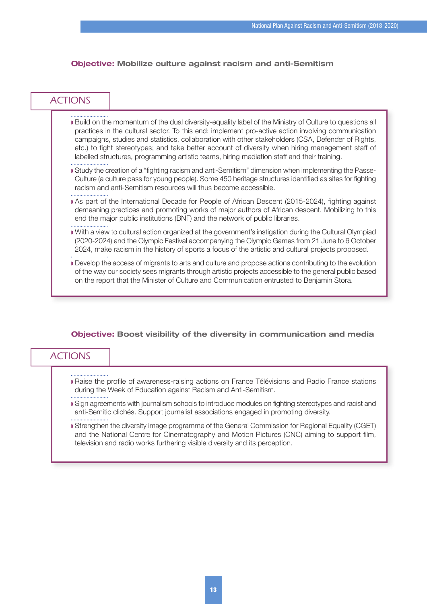#### **Objective: Mobilize culture against racism and anti-Semitism**

### **ACTIONS**

- w Build on the momentum of the dual diversity-equality label of the Ministry of Culture to questions all practices in the cultural sector. To this end: implement pro-active action involving communication campaigns, studies and statistics, collaboration with other stakeholders (CSA, Defender of Rights, etc.) to fight stereotypes; and take better account of diversity when hiring management staff of labelled structures, programming artistic teams, hiring mediation staff and their training.
- w Study the creation of a "fighting racism and anti-Semitism" dimension when implementing the Passe-Culture (a culture pass for young people). Some 450 heritage structures identified as sites for fighting racism and anti-Semitism resources will thus become accessible.
- w As part of the International Decade for People of African Descent (2015-2024), fighting against demeaning practices and promoting works of major authors of African descent. Mobilizing to this end the major public institutions (BNF) and the network of public libraries.
- w With a view to cultural action organized at the government's instigation during the Cultural Olympiad (2020-2024) and the Olympic Festival accompanying the Olympic Games from 21 June to 6 October 2024, make racism in the history of sports a focus of the artistic and cultural projects proposed.
- w Develop the access of migrants to arts and culture and propose actions contributing to the evolution of the way our society sees migrants through artistic projects accessible to the general public based on the report that the Minister of Culture and Communication entrusted to Benjamin Stora.

#### **Objective: Boost visibility of the diversity in communication and media**

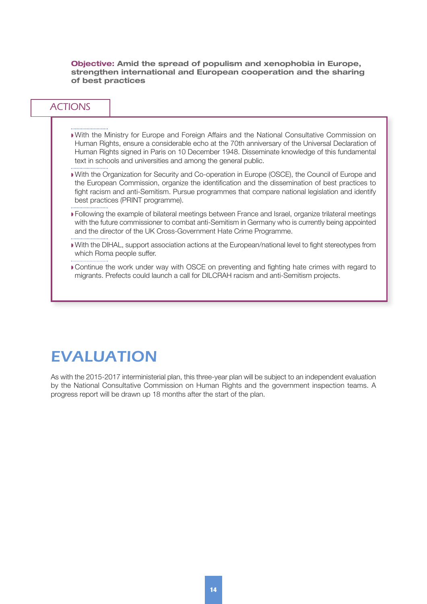**Objective: Amid the spread of populism and xenophobia in Europe, strengthen international and European cooperation and the sharing of best practices**

### ACTIONS

- w With the Ministry for Europe and Foreign Affairs and the National Consultative Commission on Human Rights, ensure a considerable echo at the 70th anniversary of the Universal Declaration of Human Rights signed in Paris on 10 December 1948. Disseminate knowledge of this fundamental text in schools and universities and among the general public.
- w With the Organization for Security and Co-operation in Europe (OSCE), the Council of Europe and the European Commission, organize the identification and the dissemination of best practices to fight racism and anti-Semitism. Pursue programmes that compare national legislation and identify best practices (PRINT programme).
- w Following the example of bilateral meetings between France and Israel, organize trilateral meetings with the future commissioner to combat anti-Semitism in Germany who is currently being appointed and the director of the UK Cross-Government Hate Crime Programme.
- w With the DIHAL, support association actions at the European/national level to fight stereotypes from which Roma people suffer.
- w Continue the work under way with OSCE on preventing and fighting hate crimes with regard to migrants. Prefects could launch a call for DILCRAH racism and anti-Semitism projects.

### EVALUATION

As with the 2015-2017 interministerial plan, this three-year plan will be subject to an independent evaluation by the National Consultative Commission on Human Rights and the government inspection teams. A progress report will be drawn up 18 months after the start of the plan.